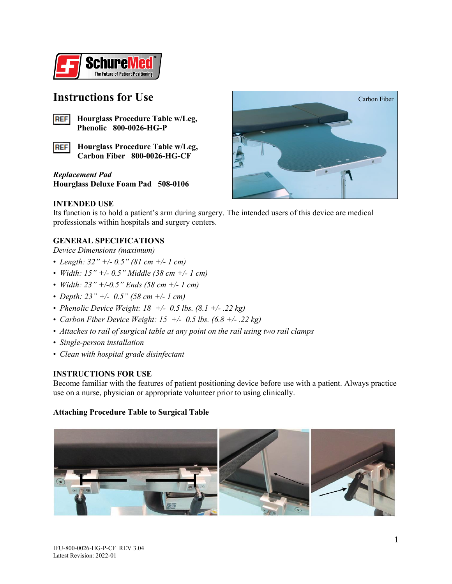

### **Instructions for Use**



**Hourglass Procedure Table w/Leg, Phenolic 800-0026-HG-P**

**Hourglass Procedure Table w/Leg, REF Carbon Fiber 800-0026-HG-CF**

*Replacement Pad* **Hourglass Deluxe Foam Pad 508-0106**



### **INTENDED USE**

Its function is to hold a patient's arm during surgery. The intended users of this device are medical professionals within hospitals and surgery centers.

### **GENERAL SPECIFICATIONS**

*Device Dimensions (maximum)*

- *Length: 32" +/- 0.5" (81 cm +/- 1 cm)*
- *Width: 15" +/- 0.5" Middle (38 cm +/- 1 cm)*
- *Width: 23" +/-0.5" Ends (58 cm +/- 1 cm)*
- *Depth: 23" +/- 0.5" (58 cm +/- 1 cm)*
- *Phenolic Device Weight: 18 +/- 0.5 lbs. (8.1 +/- .22 kg)*
- *Carbon Fiber Device Weight: 15 +/- 0.5 lbs. (6.8 +/- .22 kg)*
- *Attaches to rail of surgical table at any point on the rail using two rail clamps*
- *Single-person installation*
- *Clean with hospital grade disinfectant*

### **INSTRUCTIONS FOR USE**

Become familiar with the features of patient positioning device before use with a patient. Always practice use on a nurse, physician or appropriate volunteer prior to using clinically.

### **Attaching Procedure Table to Surgical Table**

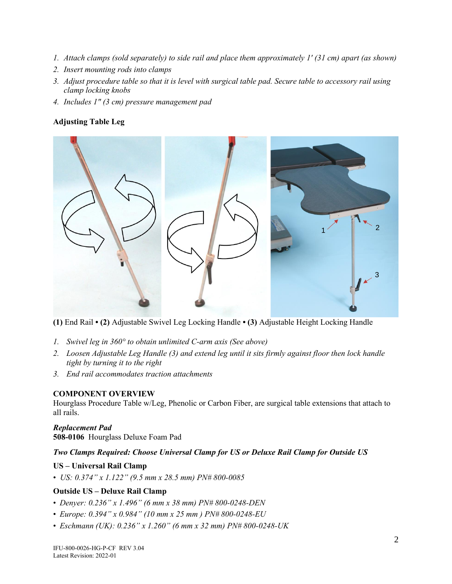- *1. Attach clamps (sold separately) to side rail and place them approximately 1' (31 cm) apart (as shown)*
- *2. Insert mounting rods into clamps*
- *3. Adjust procedure table so that it is level with surgical table pad. Secure table to accessory rail using clamp locking knobs*
- *4. Includes 1" (3 cm) pressure management pad*

### **Adjusting Table Leg**



**(1)** End Rail **• (2)** Adjustable Swivel Leg Locking Handle **• (3)** Adjustable Height Locking Handle

- *1. Swivel leg in 360° to obtain unlimited C-arm axis (See above)*
- *2. Loosen Adjustable Leg Handle (3) and extend leg until it sits firmly against floor then lock handle tight by turning it to the right*
- *3. End rail accommodates traction attachments*

### **COMPONENT OVERVIEW**

Hourglass Procedure Table w/Leg, Phenolic or Carbon Fiber, are surgical table extensions that attach to all rails.

### *Replacement Pad*

**508-0106** Hourglass Deluxe Foam Pad

### *Two Clamps Required: Choose Universal Clamp for US or Deluxe Rail Clamp for Outside US*

### **US – Universal Rail Clamp**

• *US: 0.374" x 1.122" (9.5 mm x 28.5 mm) PN# 800-0085* 

### **Outside US – Deluxe Rail Clamp**

- *Denyer: 0.236" x 1.496" (6 mm x 38 mm) PN# 800-0248-DEN*
- *Europe: 0.394" x 0.984" (10 mm x 25 mm ) PN# 800-0248-EU*
- *Eschmann (UK): 0.236" x 1.260" (6 mm x 32 mm) PN# 800-0248-UK*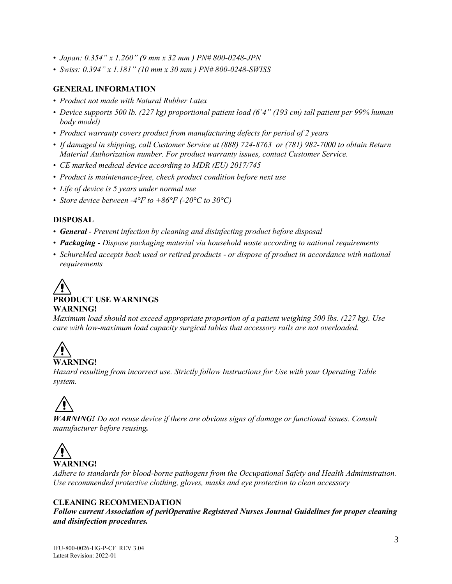- *Japan: 0.354" x 1.260" (9 mm x 32 mm ) PN# 800-0248-JPN*
- *Swiss: 0.394" x 1.181" (10 mm x 30 mm ) PN# 800-0248-SWISS*

### **GENERAL INFORMATION**

- *Product not made with Natural Rubber Latex*
- *Device supports 500 lb. (227 kg) proportional patient load (6'4" (193 cm) tall patient per 99% human body model)*
- *Product warranty covers product from manufacturing defects for period of 2 years*
- *If damaged in shipping, call Customer Service at (888) 724-8763 or (781) 982-7000 to obtain Return Material Authorization number. For product warranty issues, contact Customer Service.*
- *CE marked medical device according to MDR (EU) 2017/745*
- *Product is maintenance-free, check product condition before next use*
- *Life of device is 5 years under normal use*
- *Store device between -4°F to +86°F (-20°C to 30°C)*

### **DISPOSAL**

- *General - Prevent infection by cleaning and disinfecting product before disposal*
- *Packaging - Dispose packaging material via household waste according to national requirements*
- *SchureMed accepts back used or retired products - or dispose of product in accordance with national requirements*

# **PRODUCT USE WARNINGS WARNING!**

*Maximum load should not exceed appropriate proportion of a patient weighing 500 lbs. (227 kg). Use care with low-maximum load capacity surgical tables that accessory rails are not overloaded.* 

# **WARNING!**

*Hazard resulting from incorrect use. Strictly follow Instructions for Use with your Operating Table system.*

*WARNING! Do not reuse device if there are obvious signs of damage or functional issues. Consult manufacturer before reusing.*



*Adhere to standards for blood-borne pathogens from the Occupational Safety and Health Administration. Use recommended protective clothing, gloves, masks and eye protection to clean accessory*

### **CLEANING RECOMMENDATION**

*Follow current Association of periOperative Registered Nurses Journal Guidelines for proper cleaning and disinfection procedures.*